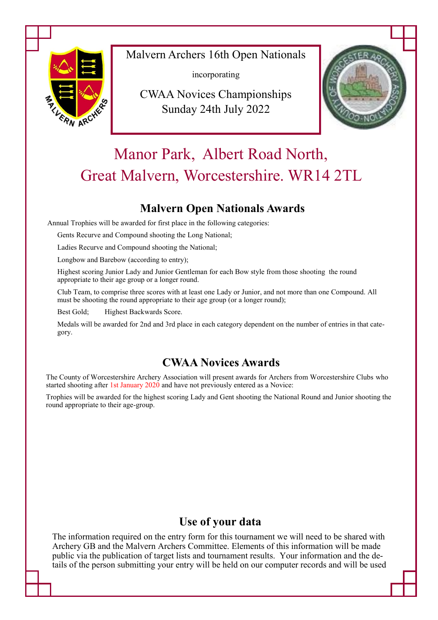

Malvern Archers 16th Open Nationals

incorporating

CWAA Novices Championships Sunday 24th July 2022



## Manor Park, Albert Road North, Great Malvern, Worcestershire. WR14 2TL

## **Malvern Open Nationals Awards**

Annual Trophies will be awarded for first place in the following categories:

Gents Recurve and Compound shooting the Long National;

Ladies Recurve and Compound shooting the National;

Longbow and Barebow (according to entry);

Highest scoring Junior Lady and Junior Gentleman for each Bow style from those shooting the round appropriate to their age group or a longer round.

Club Team, to comprise three scores with at least one Lady or Junior, and not more than one Compound. All must be shooting the round appropriate to their age group (or a longer round);

Best Gold; Highest Backwards Score.

Medals will be awarded for 2nd and 3rd place in each category dependent on the number of entries in that category.

## **CWAA Novices Awards**

The County of Worcestershire Archery Association will present awards for Archers from Worcestershire Clubs who started shooting after 1st January 2020 and have not previously entered as a Novice:

Trophies will be awarded for the highest scoring Lady and Gent shooting the National Round and Junior shooting the round appropriate to their age-group.

## **Use of your data**

The information required on the entry form for this tournament we will need to be shared with Archery GB and the Malvern Archers Committee. Elements of this information will be made public via the publication of target lists and tournament results. Your information and the details of the person submitting your entry will be held on our computer records and will be used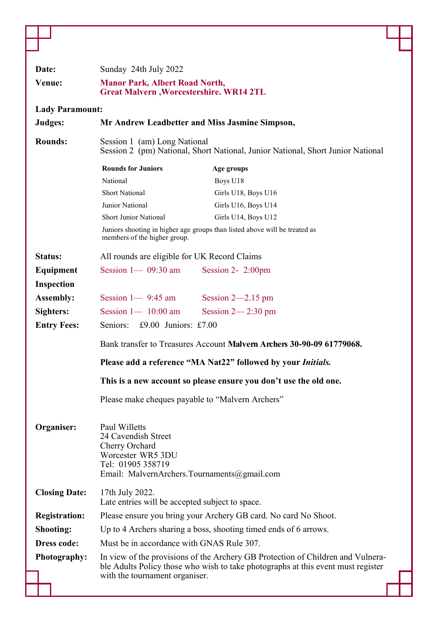| Date:                  | Sunday 24th July 2022                                                                                                                                                                                 |  |  |  |  |  |  |  |  |  |  |  |  |
|------------------------|-------------------------------------------------------------------------------------------------------------------------------------------------------------------------------------------------------|--|--|--|--|--|--|--|--|--|--|--|--|
| Venue:                 | <b>Manor Park, Albert Road North,</b><br><b>Great Malvern , Worcestershire. WR14 2TL</b>                                                                                                              |  |  |  |  |  |  |  |  |  |  |  |  |
| <b>Lady Paramount:</b> |                                                                                                                                                                                                       |  |  |  |  |  |  |  |  |  |  |  |  |
| Judges:                | Mr Andrew Leadbetter and Miss Jasmine Simpson,                                                                                                                                                        |  |  |  |  |  |  |  |  |  |  |  |  |
| <b>Rounds:</b>         | Session 1 (am) Long National<br>Session 2 (pm) National, Short National, Junior National, Short Junior National                                                                                       |  |  |  |  |  |  |  |  |  |  |  |  |
|                        | <b>Rounds for Juniors</b><br>Age groups                                                                                                                                                               |  |  |  |  |  |  |  |  |  |  |  |  |
|                        | National<br>Boys U18                                                                                                                                                                                  |  |  |  |  |  |  |  |  |  |  |  |  |
|                        | <b>Short National</b><br>Girls U18, Boys U16                                                                                                                                                          |  |  |  |  |  |  |  |  |  |  |  |  |
|                        | Junior National<br>Girls U16, Boys U14                                                                                                                                                                |  |  |  |  |  |  |  |  |  |  |  |  |
|                        | <b>Short Junior National</b><br>Girls U14, Boys U12                                                                                                                                                   |  |  |  |  |  |  |  |  |  |  |  |  |
|                        | Juniors shooting in higher age groups than listed above will be treated as<br>members of the higher group.                                                                                            |  |  |  |  |  |  |  |  |  |  |  |  |
| <b>Status:</b>         | All rounds are eligible for UK Record Claims                                                                                                                                                          |  |  |  |  |  |  |  |  |  |  |  |  |
| Equipment              | Session $1 - 09:30$ am<br>Session $2-2:00$ pm                                                                                                                                                         |  |  |  |  |  |  |  |  |  |  |  |  |
| <b>Inspection</b>      |                                                                                                                                                                                                       |  |  |  |  |  |  |  |  |  |  |  |  |
| <b>Assembly:</b>       | Session $1 - 9:45$ am<br>Session $2-2.15$ pm                                                                                                                                                          |  |  |  |  |  |  |  |  |  |  |  |  |
| Sighters:              | Session $1 - 10:00$ am<br>Session $2 - 2:30$ pm                                                                                                                                                       |  |  |  |  |  |  |  |  |  |  |  |  |
| <b>Entry Fees:</b>     | £9.00 Juniors: £7.00<br>Seniors:                                                                                                                                                                      |  |  |  |  |  |  |  |  |  |  |  |  |
|                        | Bank transfer to Treasures Account Malvern Archers 30-90-09 61779068.                                                                                                                                 |  |  |  |  |  |  |  |  |  |  |  |  |
|                        | Please add a reference "MA Nat22" followed by your Initials.                                                                                                                                          |  |  |  |  |  |  |  |  |  |  |  |  |
|                        | This is a new account so please ensure you don't use the old one.                                                                                                                                     |  |  |  |  |  |  |  |  |  |  |  |  |
|                        | Please make cheques payable to "Malvern Archers"                                                                                                                                                      |  |  |  |  |  |  |  |  |  |  |  |  |
| Organiser:             | Paul Willetts<br>24 Cavendish Street<br>Cherry Orchard<br>Worcester WR5 3DU<br>Tel: 01905 358719<br>Email: MalvernArchers.Tournaments@gmail.com                                                       |  |  |  |  |  |  |  |  |  |  |  |  |
| <b>Closing Date:</b>   | 17th July 2022.<br>Late entries will be accepted subject to space.                                                                                                                                    |  |  |  |  |  |  |  |  |  |  |  |  |
| <b>Registration:</b>   | Please ensure you bring your Archery GB card. No card No Shoot.                                                                                                                                       |  |  |  |  |  |  |  |  |  |  |  |  |
| <b>Shooting:</b>       | Up to 4 Archers sharing a boss, shooting timed ends of 6 arrows.                                                                                                                                      |  |  |  |  |  |  |  |  |  |  |  |  |
| <b>Dress code:</b>     | Must be in accordance with GNAS Rule 307.                                                                                                                                                             |  |  |  |  |  |  |  |  |  |  |  |  |
| Photography:           | In view of the provisions of the Archery GB Protection of Children and Vulnera-<br>ble Adults Policy those who wish to take photographs at this event must register<br>with the tournament organiser. |  |  |  |  |  |  |  |  |  |  |  |  |
|                        |                                                                                                                                                                                                       |  |  |  |  |  |  |  |  |  |  |  |  |